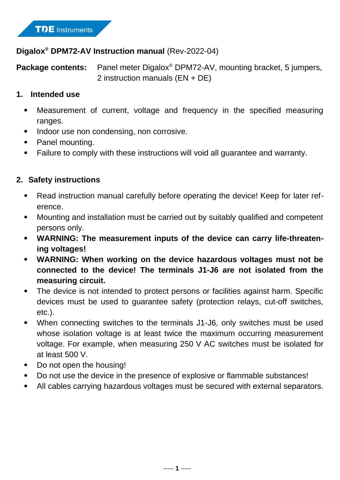## **Digalox® DPM72-AV Instruction manual** (Rev-2022-04)

Package contents: Panel meter Digalox<sup>®</sup> DPM72-AV, mounting bracket, 5 jumpers, 2 instruction manuals (EN + DE)

#### **1. Intended use**

- Measurement of current, voltage and frequency in the specified measuring ranges.
- Indoor use non condensing, non corrosive.
- Panel mounting.
- Failure to comply with these instructions will void all guarantee and warranty.

# **2. Safety instructions**

- Read instruction manual carefully before operating the device! Keep for later reference.
- Mounting and installation must be carried out by suitably qualified and competent persons only.
- **WARNING: The measurement inputs of the device can carry life-threatening voltages!**
- **WARNING: When working on the device hazardous voltages must not be connected to the device! The terminals J1-J6 are not isolated from the measuring circuit.**
- The device is not intended to protect persons or facilities against harm. Specific devices must be used to guarantee safety (protection relays, cut-off switches, etc.).
- When connecting switches to the terminals J1-J6, only switches must be used whose isolation voltage is at least twice the maximum occurring measurement voltage. For example, when measuring 250 V AC switches must be isolated for at least 500 V.
- Do not open the housing!
- Do not use the device in the presence of explosive or flammable substances!
- All cables carrying hazardous voltages must be secured with external separators.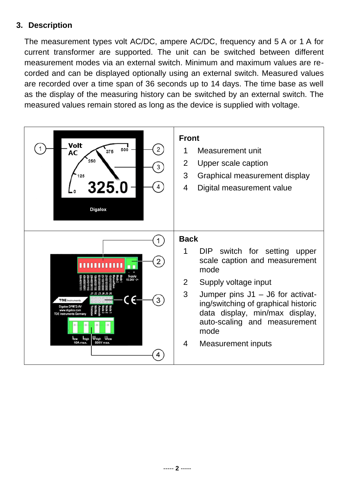# **3. Description**

The measurement types volt AC/DC, ampere AC/DC, frequency and 5 A or 1 A for current transformer are supported. The unit can be switched between different measurement modes via an external switch. Minimum and maximum values are recorded and can be displayed optionally using an external switch. Measured values are recorded over a time span of 36 seconds up to 14 days. The time base as well as the display of the measuring history can be switched by an external switch. The measured values remain stored as long as the device is supplied with voltage.

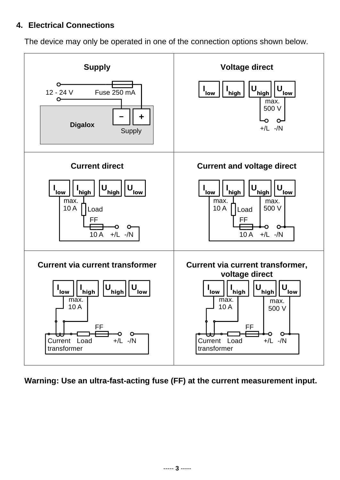#### **4. Electrical Connections**

The device may only be operated in one of the connection options shown below.



**Warning: Use an ultra-fast-acting fuse (FF) at the current measurement input.**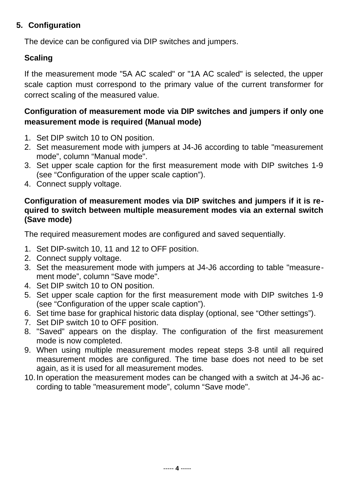### **5. Configuration**

The device can be configured via DIP switches and jumpers.

# **Scaling**

If the measurement mode "5A AC scaled" or "1A AC scaled" is selected, the upper scale caption must correspond to the primary value of the current transformer for correct scaling of the measured value.

# **Configuration of measurement mode via DIP switches and jumpers if only one measurement mode is required (Manual mode)**

- 1. Set DIP switch 10 to ON position.
- 2. Set measurement mode with jumpers at J4-J6 according to table "measurement mode", column "Manual mode".
- 3. Set upper scale caption for the first measurement mode with DIP switches 1-9 (see "Configuration of the upper scale caption").
- 4. Connect supply voltage.

#### **Configuration of measurement modes via DIP switches and jumpers if it is required to switch between multiple measurement modes via an external switch (Save mode)**

The required measurement modes are configured and saved sequentially.

- 1. Set DIP-switch 10, 11 and 12 to OFF position.
- 2. Connect supply voltage.
- 3. Set the measurement mode with jumpers at J4-J6 according to table "measurement mode", column "Save mode".
- 4. Set DIP switch 10 to ON position.
- 5. Set upper scale caption for the first measurement mode with DIP switches 1-9 (see "Configuration of the upper scale caption").
- 6. Set time base for graphical historic data display (optional, see "Other settings").
- 7. Set DIP switch 10 to OFF position.
- 8. "Saved" appears on the display. The configuration of the first measurement mode is now completed.
- 9. When using multiple measurement modes repeat steps 3-8 until all required measurement modes are configured. The time base does not need to be set again, as it is used for all measurement modes.
- 10.In operation the measurement modes can be changed with a switch at J4-J6 according to table "measurement mode", column "Save mode".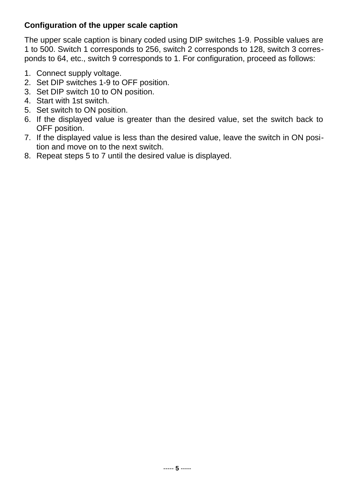## **Configuration of the upper scale caption**

The upper scale caption is binary coded using DIP switches 1-9. Possible values are 1 to 500. Switch 1 corresponds to 256, switch 2 corresponds to 128, switch 3 corresponds to 64, etc., switch 9 corresponds to 1. For configuration, proceed as follows:

- 1. Connect supply voltage.
- 2. Set DIP switches 1-9 to OFF position.
- 3. Set DIP switch 10 to ON position.
- 4. Start with 1st switch.
- 5. Set switch to ON position.
- 6. If the displayed value is greater than the desired value, set the switch back to OFF position.
- 7. If the displayed value is less than the desired value, leave the switch in ON position and move on to the next switch.
- 8. Repeat steps 5 to 7 until the desired value is displayed.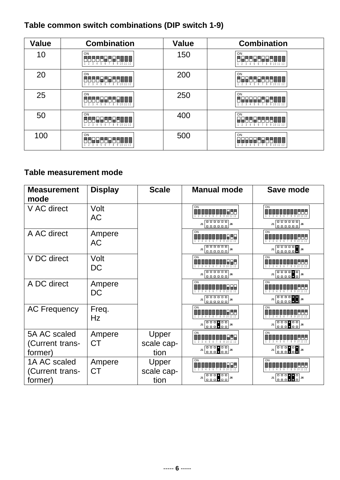# **Table common switch combinations (DIP switch 1-9)**

| <b>Value</b> | <b>Combination</b>                                       | <b>Value</b> | <b>Combination</b>                                  |
|--------------|----------------------------------------------------------|--------------|-----------------------------------------------------|
| 10           | ON<br>98888888888<br>2 3 4 5 6 7 8 9 10 11 12            | 150          | ON<br>-----------<br>2 3 4 5 6 7 8 9 10 11 12       |
| 20           | ON<br>.888888886<br>TN<br>1 2 3 4 5 6 7 8 9 10 11 12     | 200          | ON<br>----------<br>2 3 4 5 6 7 8 9 10 11 12        |
| 25           | ON<br>166622552 <b>666</b><br>1 2 3 4 5 6 7 8 9 10 11 12 | 250          | ON<br>2 3 4 5 6 7 8 9 10 11 12                      |
| 50           | ON<br><u> ARALLARLANNI</u><br>1 2 3 4 5 6 7 8 9 10 11 12 | 400          | ON<br>TF<br>888888888<br>1 2 3 4 5 6 7 8 9 10 11 12 |
| 100          | ON<br>1 2 3 4 5 6 7 8 9 10 11 12                         | 500          | ON<br>2 3 4 5 6 7 8 9 10 11 12                      |

# **Table measurement mode**

| <b>Measurement</b><br>mode                 | <b>Display</b>      | <b>Scale</b>                | <b>Manual mode</b>                                                                                                           | Save mode                                                                                                                                                                                     |
|--------------------------------------------|---------------------|-----------------------------|------------------------------------------------------------------------------------------------------------------------------|-----------------------------------------------------------------------------------------------------------------------------------------------------------------------------------------------|
| V AC direct                                | Volt<br><b>AC</b>   |                             | ON                                                                                                                           | ON<br>$\mathbf{J1}$                                                                                                                                                                           |
| A AC direct                                | Ampere<br><b>AC</b> |                             | ON<br>000000<br>000000<br>J1<br>J6                                                                                           | ON<br>aaaaa <b>a</b><br>aaaaaa<br>${\bf J1}$<br>J6                                                                                                                                            |
| V DC direct                                | Volt<br><b>DC</b>   |                             | ON<br>$J1$ $\left[\begin{array}{ccc} 0 & 0 & 0 & 0 & 0 \\ 0 & 0 & 0 & 0 & 0 & 0 \\ 0 & 0 & 0 & 0 & 0 & 0 \end{array}\right]$ | ON<br>$\mathsf{J1}$                                                                                                                                                                           |
| A DC direct                                | Ampere<br>DC        |                             | ON                                                                                                                           | ON<br>4 5 6<br>$\begin{bmatrix} 0 & 0 & 0 & 0 \\ 0 & 0 & 0 & 0 \\ \end{bmatrix}$<br>$\mathsf{J1}$                                                                                             |
| <b>AC Frequency</b>                        | Freq.<br><b>Hz</b>  |                             | ON<br>J1<br>J6                                                                                                               | ON<br>$J1$ $\begin{bmatrix} 0 & 0 & 0 \\ 0 & 0 & 0 \end{bmatrix}$ $\begin{bmatrix} 0 & 0 \\ 0 & 0 \end{bmatrix}$ $J6$                                                                         |
| 5A AC scaled<br>(Current trans-<br>former) | Ampere<br><b>CT</b> | Upper<br>scale cap-<br>tion | $\mathfrak{B} \left[ \begin{array}{ccc} 0 & 0 & 0 \\ 0 & 0 & 0 \\ 0 & 0 & 0 \end{array} \right] \mathfrak{B}$                | ON<br>$31 \begin{array}{ c c c c c } \hline \textbf{0} & \textbf{0} & \textbf{0} & \textbf{0} \\ \hline \textbf{0} & \textbf{0} & \textbf{0} & \textbf{0} & \textbf{0} \\ \hline \end{array}$ |
| 1A AC scaled<br>(Current trans-<br>former) | Ampere<br><b>CT</b> | Upper<br>scale cap-<br>tion | ON<br>-6<br>$\begin{bmatrix} 0 & 0 & 0 \\ 0 & 0 & 0 \\ 0 & 0 & 0 \end{bmatrix}$<br>J1                                        | ON<br>$\begin{bmatrix} 0 & 0 & 0 \\ 0 & 0 & 0 \end{bmatrix}$ $\begin{bmatrix} 0 \\ 0 \\ 0 \end{bmatrix}$ ) $\begin{bmatrix} 0 \\ 0 \\ 0 \end{bmatrix}$<br>$\mathbf{J1}$                       |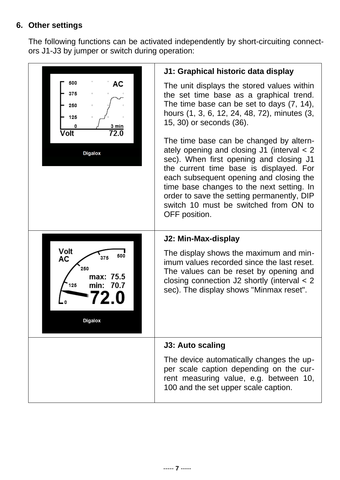#### **6. Other settings**

The following functions can be activated independently by short-circuiting connectors J1-J3 by jumper or switch during operation: